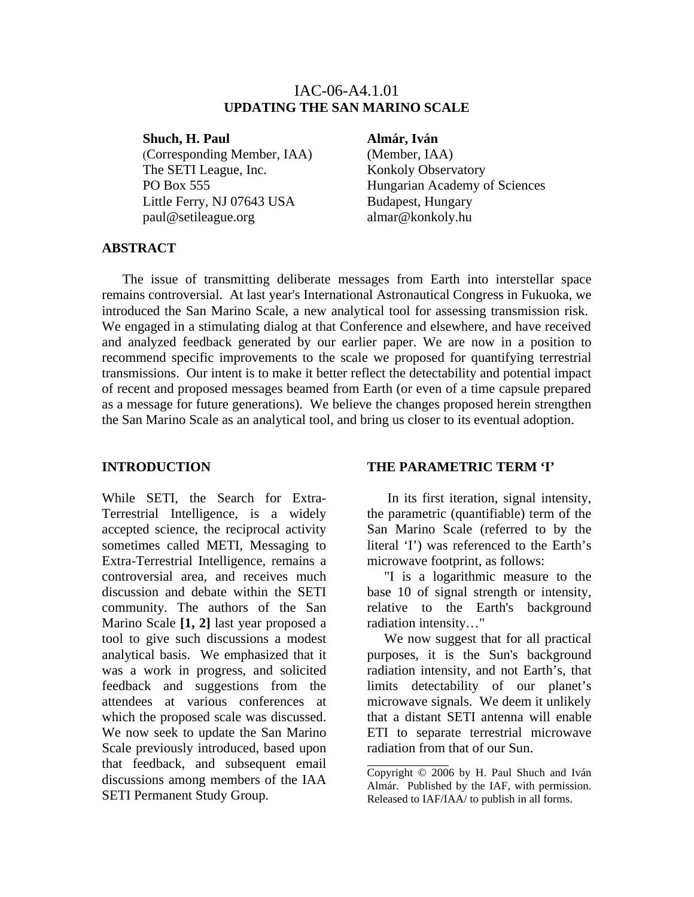### IAC-06-A4.1.01 **UPDATING THE SAN MARINO SCALE**

**Shuch, H. Paul**

(Corresponding Member, IAA) The SETI League, Inc. PO Box 555 Little Ferry, NJ 07643 USA paul@setileague.org

#### **Almár, Iván**

(Member, IAA) Konkoly Observatory Hungarian Academy of Sciences Budapest, Hungary almar@konkoly.hu

### **ABSTRACT**

The issue of transmitting deliberate messages from Earth into interstellar space remains controversial. At last year's International Astronautical Congress in Fukuoka, we introduced the San Marino Scale, a new analytical tool for assessing transmission risk. We engaged in a stimulating dialog at that Conference and elsewhere, and have received and analyzed feedback generated by our earlier paper. We are now in a position to recommend specific improvements to the scale we proposed for quantifying terrestrial transmissions. Our intent is to make it better reflect the detectability and potential impact of recent and proposed messages beamed from Earth (or even of a time capsule prepared as a message for future generations). We believe the changes proposed herein strengthen the San Marino Scale as an analytical tool, and bring us closer to its eventual adoption.

### **INTRODUCTION**

While SETI, the Search for Extra-Terrestrial Intelligence, is a widely accepted science, the reciprocal activity sometimes called METI, Messaging to Extra-Terrestrial Intelligence, remains a controversial area, and receives much discussion and debate within the SETI community. The authors of the San Marino Scale **[1, 2]** last year proposed a tool to give such discussions a modest analytical basis. We emphasized that it was a work in progress, and solicited feedback and suggestions from the attendees at various conferences at which the proposed scale was discussed. We now seek to update the San Marino Scale previously introduced, based upon that feedback, and subsequent email discussions among members of the IAA SETI Permanent Study Group.

#### **THE PARAMETRIC TERM 'I'**

In its first iteration, signal intensity, the parametric (quantifiable) term of the San Marino Scale (referred to by the literal 'I') was referenced to the Earth's microwave footprint, as follows:

 "I is a logarithmic measure to the base 10 of signal strength or intensity, relative to the Earth's background radiation intensity…"

We now suggest that for all practical purposes, it is the Sun's background radiation intensity, and not Earth's, that limits detectability of our planet's microwave signals. We deem it unlikely that a distant SETI antenna will enable ETI to separate terrestrial microwave radiation from that of our Sun.

Copyright © 2006 by H. Paul Shuch and Iván Almár. Published by the IAF, with permission. Released to IAF/IAA/ to publish in all forms.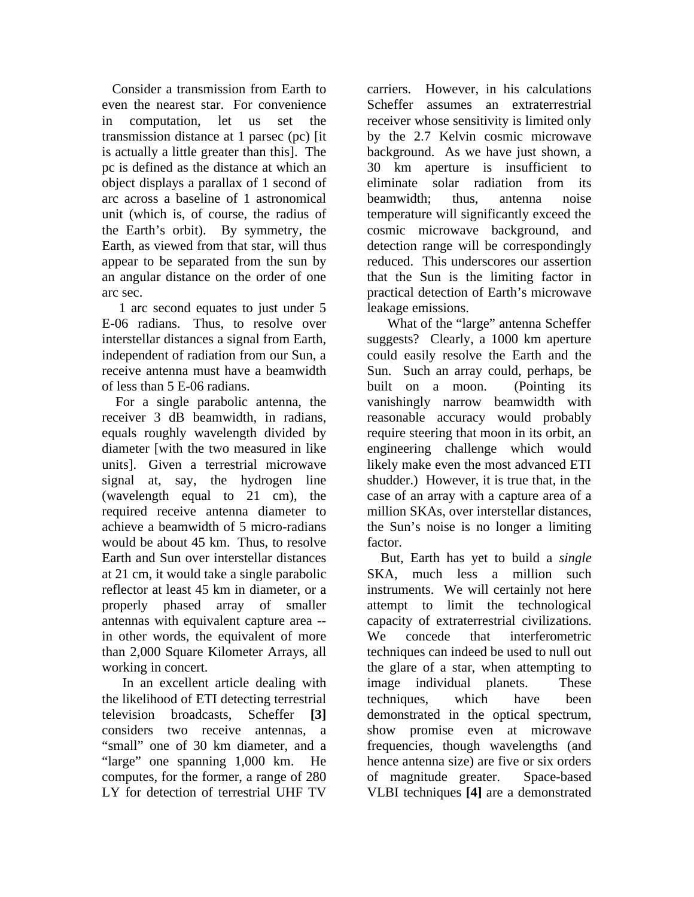Consider a transmission from Earth to even the nearest star. For convenience in computation, let us set the transmission distance at 1 parsec (pc) [it is actually a little greater than this]. The pc is defined as the distance at which an object displays a parallax of 1 second of arc across a baseline of 1 astronomical unit (which is, of course, the radius of the Earth's orbit). By symmetry, the Earth, as viewed from that star, will thus appear to be separated from the sun by an angular distance on the order of one arc sec.

 1 arc second equates to just under 5 E-06 radians. Thus, to resolve over interstellar distances a signal from Earth, independent of radiation from our Sun, a receive antenna must have a beamwidth of less than 5 E-06 radians.

 For a single parabolic antenna, the receiver 3 dB beamwidth, in radians, equals roughly wavelength divided by diameter [with the two measured in like units]. Given a terrestrial microwave signal at, say, the hydrogen line (wavelength equal to 21 cm), the required receive antenna diameter to achieve a beamwidth of 5 micro-radians would be about 45 km. Thus, to resolve Earth and Sun over interstellar distances at 21 cm, it would take a single parabolic reflector at least 45 km in diameter, or a properly phased array of smaller antennas with equivalent capture area - in other words, the equivalent of more than 2,000 Square Kilometer Arrays, all working in concert.

In an excellent article dealing with the likelihood of ETI detecting terrestrial television broadcasts, Scheffer **[3]** considers two receive antennas, a "small" one of 30 km diameter, and a "large" one spanning 1,000 km. He computes, for the former, a range of 280 LY for detection of terrestrial UHF TV

carriers. However, in his calculations Scheffer assumes an extraterrestrial receiver whose sensitivity is limited only by the 2.7 Kelvin cosmic microwave background. As we have just shown, a 30 km aperture is insufficient to eliminate solar radiation from its beamwidth; thus, antenna noise temperature will significantly exceed the cosmic microwave background, and detection range will be correspondingly reduced. This underscores our assertion that the Sun is the limiting factor in practical detection of Earth's microwave leakage emissions.

What of the "large" antenna Scheffer suggests? Clearly, a 1000 km aperture could easily resolve the Earth and the Sun. Such an array could, perhaps, be built on a moon. (Pointing its vanishingly narrow beamwidth with reasonable accuracy would probably require steering that moon in its orbit, an engineering challenge which would likely make even the most advanced ETI shudder.) However, it is true that, in the case of an array with a capture area of a million SKAs, over interstellar distances, the Sun's noise is no longer a limiting factor.

 But, Earth has yet to build a *single* SKA, much less a million such instruments. We will certainly not here attempt to limit the technological capacity of extraterrestrial civilizations. We concede that interferometric techniques can indeed be used to null out the glare of a star, when attempting to image individual planets. These techniques, which have been demonstrated in the optical spectrum, show promise even at microwave frequencies, though wavelengths (and hence antenna size) are five or six orders of magnitude greater. Space-based VLBI techniques **[4]** are a demonstrated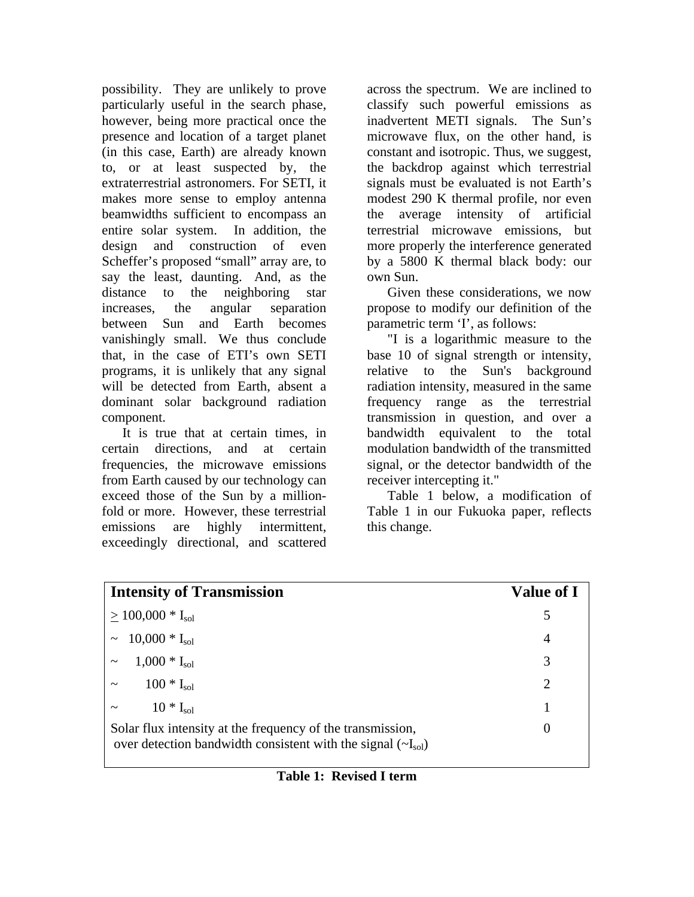possibility. They are unlikely to prove particularly useful in the search phase, however, being more practical once the presence and location of a target planet (in this case, Earth) are already known to, or at least suspected by, the extraterrestrial astronomers. For SETI, it makes more sense to employ antenna beamwidths sufficient to encompass an entire solar system. In addition, the design and construction of even Scheffer's proposed "small" array are, to say the least, daunting. And, as the distance to the neighboring star increases, the angular separation between Sun and Earth becomes vanishingly small. We thus conclude that, in the case of ETI's own SETI programs, it is unlikely that any signal will be detected from Earth, absent a dominant solar background radiation component.

It is true that at certain times, in certain directions, and at certain frequencies, the microwave emissions from Earth caused by our technology can exceed those of the Sun by a millionfold or more. However, these terrestrial emissions are highly intermittent, exceedingly directional, and scattered

across the spectrum. We are inclined to classify such powerful emissions as inadvertent METI signals. The Sun's microwave flux, on the other hand, is constant and isotropic. Thus, we suggest, the backdrop against which terrestrial signals must be evaluated is not Earth's modest 290 K thermal profile, nor even the average intensity of artificial terrestrial microwave emissions, but more properly the interference generated by a 5800 K thermal black body: our own Sun.

Given these considerations, we now propose to modify our definition of the parametric term 'I', as follows:

"I is a logarithmic measure to the base 10 of signal strength or intensity, relative to the Sun's background radiation intensity, measured in the same frequency range as the terrestrial transmission in question, and over a bandwidth equivalent to the total modulation bandwidth of the transmitted signal, or the detector bandwidth of the receiver intercepting it."

Table 1 below, a modification of Table 1 in our Fukuoka paper, reflects this change.

| <b>Intensity of Transmission</b>                                                                                                          | Value of I |
|-------------------------------------------------------------------------------------------------------------------------------------------|------------|
| $\geq$ 100,000 * I <sub>sol</sub>                                                                                                         | 5          |
| $10,000 * I_{sol}$<br>$\sim$                                                                                                              | 4          |
| $1,000 * I_{\rm sol}$                                                                                                                     | 3          |
| $100 * I_{\rm sol}$                                                                                                                       | 2          |
| $10 * Isol$                                                                                                                               |            |
| Solar flux intensity at the frequency of the transmission,<br>over detection bandwidth consistent with the signal $(\sim I_{\text{sol}})$ | 0          |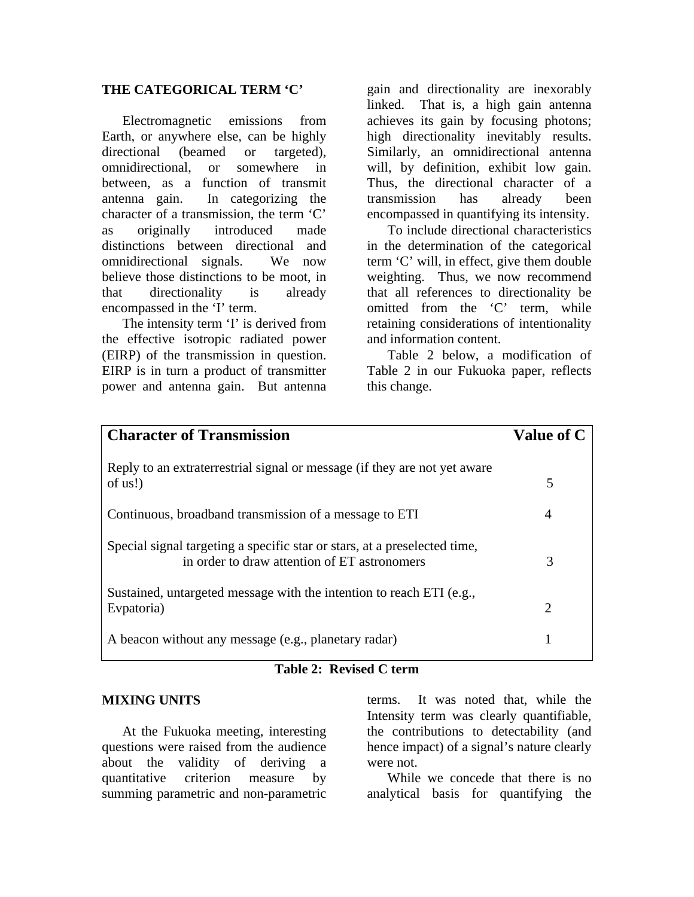### **THE CATEGORICAL TERM 'C'**

Electromagnetic emissions from Earth, or anywhere else, can be highly directional (beamed or targeted), omnidirectional, or somewhere in between, as a function of transmit antenna gain. In categorizing the character of a transmission, the term 'C' as originally introduced made distinctions between directional and omnidirectional signals. We now believe those distinctions to be moot, in that directionality is already encompassed in the 'I' term.

The intensity term 'I' is derived from the effective isotropic radiated power (EIRP) of the transmission in question. EIRP is in turn a product of transmitter power and antenna gain. But antenna

gain and directionality are inexorably linked. That is, a high gain antenna achieves its gain by focusing photons; high directionality inevitably results. Similarly, an omnidirectional antenna will, by definition, exhibit low gain. Thus, the directional character of a transmission has already been encompassed in quantifying its intensity.

To include directional characteristics in the determination of the categorical term 'C' will, in effect, give them double weighting. Thus, we now recommend that all references to directionality be omitted from the 'C' term, while retaining considerations of intentionality and information content.

Table 2 below, a modification of Table 2 in our Fukuoka paper, reflects this change.

| <b>Character of Transmission</b>                                                                                          | Value of C     |
|---------------------------------------------------------------------------------------------------------------------------|----------------|
| Reply to an extraterrestrial signal or message (if they are not yet aware<br>of $us!)$                                    | 5              |
| Continuous, broadband transmission of a message to ETI                                                                    | 4              |
| Special signal targeting a specific star or stars, at a preselected time,<br>in order to draw attention of ET astronomers | 3              |
| Sustained, untargeted message with the intention to reach ETI (e.g.,<br>Evpatoria)                                        | $\overline{c}$ |
| A beacon without any message (e.g., planetary radar)                                                                      |                |

## **Table 2: Revised C term**

### **MIXING UNITS**

At the Fukuoka meeting, interesting questions were raised from the audience about the validity of deriving a quantitative criterion measure by summing parametric and non-parametric

terms. It was noted that, while the Intensity term was clearly quantifiable, the contributions to detectability (and hence impact) of a signal's nature clearly were not.

While we concede that there is no analytical basis for quantifying the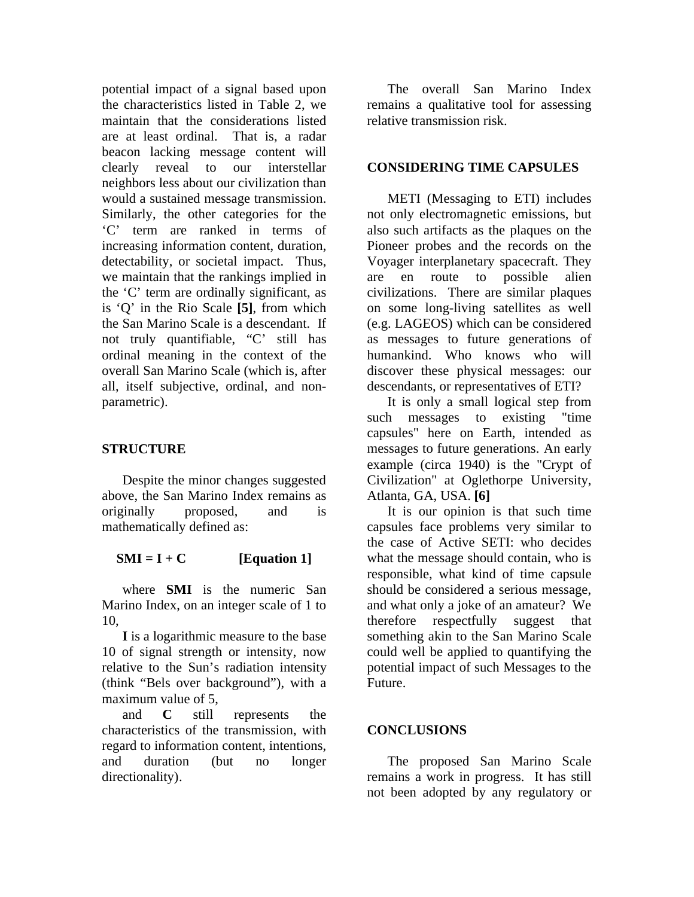potential impact of a signal based upon the characteristics listed in Table 2, we maintain that the considerations listed are at least ordinal. That is, a radar beacon lacking message content will clearly reveal to our interstellar neighbors less about our civilization than would a sustained message transmission. Similarly, the other categories for the 'C' term are ranked in terms of increasing information content, duration, detectability, or societal impact. Thus, we maintain that the rankings implied in the 'C' term are ordinally significant, as is 'Q' in the Rio Scale **[5]**, from which the San Marino Scale is a descendant. If not truly quantifiable, "C' still has ordinal meaning in the context of the overall San Marino Scale (which is, after all, itself subjective, ordinal, and nonparametric).

## **STRUCTURE**

Despite the minor changes suggested above, the San Marino Index remains as originally proposed, and is mathematically defined as:

## $SMI = I + C$  [Equation 1]

where **SMI** is the numeric San Marino Index, on an integer scale of 1 to 10,

**I** is a logarithmic measure to the base 10 of signal strength or intensity, now relative to the Sun's radiation intensity (think "Bels over background"), with a maximum value of 5,

and **C** still represents the characteristics of the transmission, with regard to information content, intentions, and duration (but no longer directionality).

The overall San Marino Index remains a qualitative tool for assessing relative transmission risk.

## **CONSIDERING TIME CAPSULES**

METI (Messaging to ETI) includes not only electromagnetic emissions, but also such artifacts as the plaques on the Pioneer probes and the records on the Voyager interplanetary spacecraft. They are en route to possible alien civilizations. There are similar plaques on some long-living satellites as well (e.g. LAGEOS) which can be considered as messages to future generations of humankind. Who knows who will discover these physical messages: our descendants, or representatives of ETI?

It is only a small logical step from such messages to existing "time capsules" here on Earth, intended as messages to future generations. An early example (circa 1940) is the "Crypt of Civilization" at Oglethorpe University, Atlanta, GA, USA. **[6]**

It is our opinion is that such time capsules face problems very similar to the case of Active SETI: who decides what the message should contain, who is responsible, what kind of time capsule should be considered a serious message, and what only a joke of an amateur? We therefore respectfully suggest that something akin to the San Marino Scale could well be applied to quantifying the potential impact of such Messages to the Future.

# **CONCLUSIONS**

The proposed San Marino Scale remains a work in progress. It has still not been adopted by any regulatory or